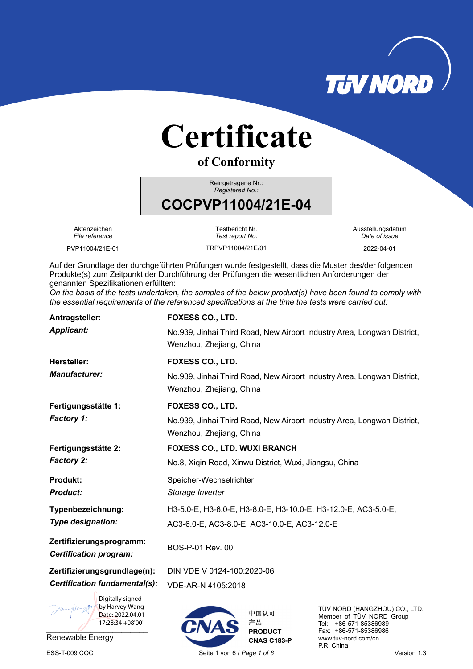

# **Certificate**

**of Conformity**

Reingetragene Nr.: *Registered No.:* 

# **COCPVP11004/21E-04**

Aktenzeichen *File reference* 

PVP11004/21E-01 TRPVP11004/21E/01 2022-04-01

Testbericht Nr. *Test report No.*  Ausstellungsdatum *Date of issue*

Auf der Grundlage der durchgeführten Prüfungen wurde festgestellt, dass die Muster des/der folgenden Produkte(s) zum Zeitpunkt der Durchführung der Prüfungen die wesentlichen Anforderungen der genannten Spezifikationen erfüllten:

*On the basis of the tests undertaken, the samples of the below product(s) have been found to comply with the essential requirements of the referenced specifications at the time the tests were carried out:*

| Antragsteller:                                                             | FOXESS CO., LTD.                                                                                    |            |                                                                                    |  |  |  |
|----------------------------------------------------------------------------|-----------------------------------------------------------------------------------------------------|------------|------------------------------------------------------------------------------------|--|--|--|
| <b>Applicant:</b>                                                          | No.939, Jinhai Third Road, New Airport Industry Area, Longwan District,<br>Wenzhou, Zhejiang, China |            |                                                                                    |  |  |  |
| <b>Hersteller:</b>                                                         | FOXESS CO., LTD.                                                                                    |            |                                                                                    |  |  |  |
| <b>Manufacturer:</b>                                                       | No.939, Jinhai Third Road, New Airport Industry Area, Longwan District,<br>Wenzhou, Zhejiang, China |            |                                                                                    |  |  |  |
| Fertigungsstätte 1:                                                        | <b>FOXESS CO., LTD.</b>                                                                             |            |                                                                                    |  |  |  |
| <b>Factory 1:</b>                                                          | No.939, Jinhai Third Road, New Airport Industry Area, Longwan District,<br>Wenzhou, Zhejiang, China |            |                                                                                    |  |  |  |
| Fertigungsstätte 2:                                                        | <b>FOXESS CO., LTD. WUXI BRANCH</b>                                                                 |            |                                                                                    |  |  |  |
| <b>Factory 2:</b>                                                          | No.8, Xiqin Road, Xinwu District, Wuxi, Jiangsu, China                                              |            |                                                                                    |  |  |  |
| <b>Produkt:</b><br><b>Product:</b>                                         | Speicher-Wechselrichter<br>Storage Inverter                                                         |            |                                                                                    |  |  |  |
| Typenbezeichnung:                                                          | H3-5.0-E, H3-6.0-E, H3-8.0-E, H3-10.0-E, H3-12.0-E, AC3-5.0-E,                                      |            |                                                                                    |  |  |  |
| Type designation:                                                          | AC3-6.0-E, AC3-8.0-E, AC3-10.0-E, AC3-12.0-E                                                        |            |                                                                                    |  |  |  |
| Zertifizierungsprogramm:<br><b>Certification program:</b>                  | BOS-P-01 Rev. 00                                                                                    |            |                                                                                    |  |  |  |
| Zertifizierungsgrundlage(n):                                               | DIN VDE V 0124-100:2020-06                                                                          |            |                                                                                    |  |  |  |
| Certification fundamental(s):                                              | VDE-AR-N 4105:2018                                                                                  |            |                                                                                    |  |  |  |
| Digitally signed<br>by Harvey Wang<br>Date: 2022.04.01<br>17:28:34 +08'00' |                                                                                                     | 中国认可<br>产品 | TÜV NORD (HANGZHOU) CO., LTD.<br>Member of TÜV NORD Group<br>Tel: +86-571-85386989 |  |  |  |

Renewable Energy

 $\overline{a}$ 

ESS-T-009 COC Seite 1 von 6 / *Page 1 of 6* Version 1.3

**PRODUCT CNAS C183-P**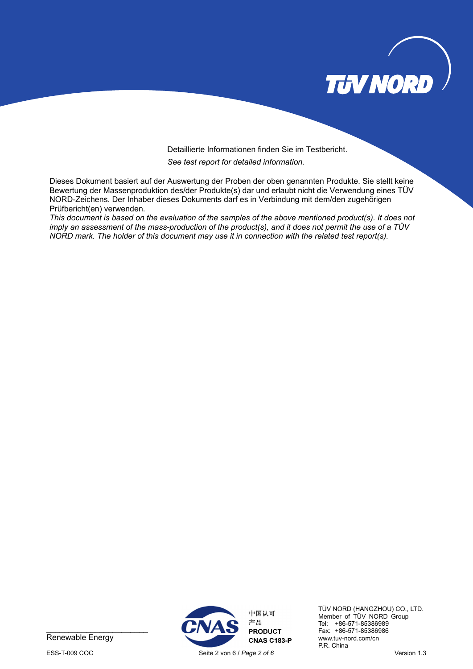

#### Detaillierte Informationen finden Sie im Testbericht. *See test report for detailed information.*

Dieses Dokument basiert auf der Auswertung der Proben der oben genannten Produkte. Sie stellt keine Bewertung der Massenproduktion des/der Produkte(s) dar und erlaubt nicht die Verwendung eines TÜV NORD-Zeichens. Der Inhaber dieses Dokuments darf es in Verbindung mit dem/den zugehörigen Prüfbericht(en) verwenden.

*This document is based on the evaluation of the samples of the above mentioned product(s). It does not imply an assessment of the mass-production of the product(s), and it does not permit the use of a TÜV NORD mark. The holder of this document may use it in connection with the related test report(s).* 



Renewable Energy



TÜV NORD (HANGZHOU) CO., LTD. Member of TÜV NORD Group Tel: +86-571-85386989 Fax: +86-571-85386986 www.tuv-nord.com/cn P.R. China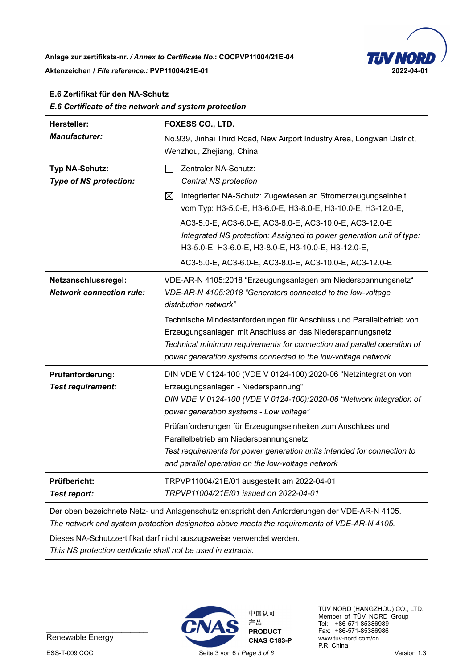**Anlage zur zertifikats-nr.** */ Annex to Certificate No.***: COCPVP11004/21E-04** 

**Aktenzeichen /** *File reference.:* **PVP11004/21E-01 2022-04-01** 



| E.6 Zertifikat für den NA-Schutz<br>E.6 Certificate of the network and system protection |                                                                                                                                                                                                                                                                                                                                                                                                                                                                        |  |  |  |  |
|------------------------------------------------------------------------------------------|------------------------------------------------------------------------------------------------------------------------------------------------------------------------------------------------------------------------------------------------------------------------------------------------------------------------------------------------------------------------------------------------------------------------------------------------------------------------|--|--|--|--|
| <b>Hersteller:</b><br><b>Manufacturer:</b>                                               | FOXESS CO., LTD.<br>No.939, Jinhai Third Road, New Airport Industry Area, Longwan District,<br>Wenzhou, Zhejiang, China                                                                                                                                                                                                                                                                                                                                                |  |  |  |  |
| Typ NA-Schutz:<br><b>Type of NS protection:</b>                                          | Zentraler NA-Schutz:<br>$\vert \ \ \vert$<br>Central NS protection<br>$\boxtimes$<br>Integrierter NA-Schutz: Zugewiesen an Stromerzeugungseinheit<br>vom Typ: H3-5.0-E, H3-6.0-E, H3-8.0-E, H3-10.0-E, H3-12.0-E,<br>AC3-5.0-E, AC3-6.0-E, AC3-8.0-E, AC3-10.0-E, AC3-12.0-E<br>Integrated NS protection: Assigned to power generation unit of type:<br>НЗ-5.0-Е, НЗ-6.0-Е, НЗ-8.0-Е, НЗ-10.0-Е, НЗ-12.0-Е,<br>AC3-5.0-E, AC3-6.0-E, AC3-8.0-E, AC3-10.0-E, AC3-12.0-E |  |  |  |  |
| Netzanschlussregel:<br><b>Network connection rule:</b>                                   | VDE-AR-N 4105:2018 "Erzeugungsanlagen am Niederspannungsnetz"<br>VDE-AR-N 4105:2018 "Generators connected to the low-voltage<br>distribution network"<br>Technische Mindestanforderungen für Anschluss und Parallelbetrieb von<br>Erzeugungsanlagen mit Anschluss an das Niederspannungsnetz<br>Technical minimum requirements for connection and parallel operation of<br>power generation systems connected to the low-voltage network                               |  |  |  |  |
| Prüfanforderung:<br><b>Test requirement:</b>                                             | DIN VDE V 0124-100 (VDE V 0124-100):2020-06 "Netzintegration von<br>Erzeugungsanlagen - Niederspannung"<br>DIN VDE V 0124-100 (VDE V 0124-100):2020-06 "Network integration of<br>power generation systems - Low voltage"<br>Prüfanforderungen für Erzeugungseinheiten zum Anschluss und<br>Parallelbetrieb am Niederspannungsnetz<br>Test requirements for power generation units intended for connection to<br>and parallel operation on the low-voltage network     |  |  |  |  |
| Prüfbericht:<br>Test report:                                                             | TRPVP11004/21E/01 ausgestellt am 2022-04-01<br>TRPVP11004/21E/01 issued on 2022-04-01                                                                                                                                                                                                                                                                                                                                                                                  |  |  |  |  |
|                                                                                          | Der oben bezeichnete Netz- und Anlagenschutz entspricht den Anforderungen der VDE-AR-N 4105.<br>The network and system protection designated above meets the requirements of VDE-AR-N 4105.<br>Dieses NA-Schutzzertifikat darf nicht auszugsweise verwendet werden.                                                                                                                                                                                                    |  |  |  |  |

*This NS protection certificate shall not be used in extracts.* 



Renewable Energy



TÜV NORD (HANGZHOU) CO., LTD. Member of TÜV NORD Group Tel: +86-571-85386989 Fax: +86-571-85386986 www.tuv-nord.com/cn P.R. China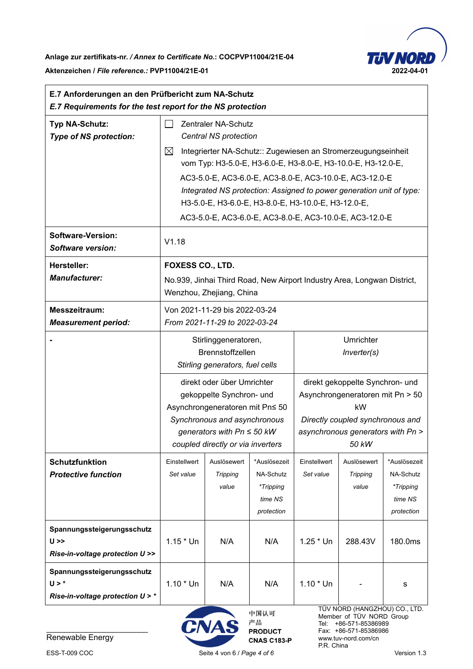

ă,

 $\mathbf{r}$ 

| E.7 Anforderungen an den Prüfbericht zum NA-Schutz<br>E.7 Requirements for the test report for the NS protection |                                                                                                                                                                                        |                                                                                                                                                                                                  |                                                                 |                                                                                                                                                                                         |                                                                                    |                                                                 |
|------------------------------------------------------------------------------------------------------------------|----------------------------------------------------------------------------------------------------------------------------------------------------------------------------------------|--------------------------------------------------------------------------------------------------------------------------------------------------------------------------------------------------|-----------------------------------------------------------------|-----------------------------------------------------------------------------------------------------------------------------------------------------------------------------------------|------------------------------------------------------------------------------------|-----------------------------------------------------------------|
| Typ NA-Schutz:<br><b>Type of NS protection:</b>                                                                  | Zentraler NA-Schutz<br>Central NS protection                                                                                                                                           |                                                                                                                                                                                                  |                                                                 |                                                                                                                                                                                         |                                                                                    |                                                                 |
|                                                                                                                  | $\boxtimes$<br>Integrierter NA-Schutz:: Zugewiesen an Stromerzeugungseinheit<br>vom Typ: H3-5.0-E, H3-6.0-E, H3-8.0-E, H3-10.0-E, H3-12.0-E,                                           |                                                                                                                                                                                                  |                                                                 |                                                                                                                                                                                         |                                                                                    |                                                                 |
|                                                                                                                  | AC3-5.0-E, AC3-6.0-E, AC3-8.0-E, AC3-10.0-E, AC3-12.0-E<br>Integrated NS protection: Assigned to power generation unit of type:<br>НЗ-5.0-Е, НЗ-6.0-Е, НЗ-8.0-Е, НЗ-10.0-Е, НЗ-12.0-Е, |                                                                                                                                                                                                  |                                                                 |                                                                                                                                                                                         |                                                                                    |                                                                 |
| <b>Software-Version:</b><br>Software version:                                                                    | AC3-5.0-E, AC3-6.0-E, AC3-8.0-E, AC3-10.0-E, AC3-12.0-E<br>V1.18                                                                                                                       |                                                                                                                                                                                                  |                                                                 |                                                                                                                                                                                         |                                                                                    |                                                                 |
| <b>Hersteller:</b><br><b>Manufacturer:</b>                                                                       | <b>FOXESS CO., LTD.</b><br>No.939, Jinhai Third Road, New Airport Industry Area, Longwan District,<br>Wenzhou, Zhejiang, China                                                         |                                                                                                                                                                                                  |                                                                 |                                                                                                                                                                                         |                                                                                    |                                                                 |
| Messzeitraum:<br><b>Measurement period:</b>                                                                      | Von 2021-11-29 bis 2022-03-24<br>From 2021-11-29 to 2022-03-24                                                                                                                         |                                                                                                                                                                                                  |                                                                 |                                                                                                                                                                                         |                                                                                    |                                                                 |
|                                                                                                                  |                                                                                                                                                                                        | Stirlinggeneratoren,<br><b>Brennstoffzellen</b><br>Stirling generators, fuel cells                                                                                                               |                                                                 | Umrichter<br>Inverter(s)<br>direkt gekoppelte Synchron- und<br>Asynchrongeneratoren mit Pn > 50<br>kW<br>Directly coupled synchronous and<br>asynchronous generators with Pn ><br>50 kW |                                                                                    |                                                                 |
|                                                                                                                  |                                                                                                                                                                                        | direkt oder über Umrichter<br>gekoppelte Synchron- und<br>Asynchrongeneratoren mit Pn≤ 50<br>Synchronous and asynchronous<br>generators with $Pn \le 50$ kW<br>coupled directly or via inverters |                                                                 |                                                                                                                                                                                         |                                                                                    |                                                                 |
| <b>Schutzfunktion</b><br><b>Protective function</b>                                                              | Einstellwert<br>Set value                                                                                                                                                              | Auslösewert<br><b>Tripping</b><br>value                                                                                                                                                          | *Auslösezeit<br>NA-Schutz<br>*Tripping<br>time NS<br>protection | Einstellwert<br>Set value                                                                                                                                                               | Auslösewert<br><b>Tripping</b><br>value                                            | *Auslösezeit<br>NA-Schutz<br>*Tripping<br>time NS<br>protection |
| Spannungssteigerungsschutz<br>$U \gg$<br>Rise-in-voltage protection U >>                                         | $1.15 * Un$                                                                                                                                                                            | N/A                                                                                                                                                                                              | N/A                                                             | $1.25 * Un$                                                                                                                                                                             | 288.43V                                                                            | 180.0ms                                                         |
| Spannungssteigerungsschutz<br>$U > *$<br>Rise-in-voltage protection U > *                                        | $1.10 * Un$                                                                                                                                                                            | N/A                                                                                                                                                                                              | N/A                                                             | $1.10 * Un$                                                                                                                                                                             |                                                                                    | s                                                               |
| Digitally signed by<br>Harvey Wang<br>Date: 2022.04.01<br>17:29:18 +08'00'                                       |                                                                                                                                                                                        | CNAS                                                                                                                                                                                             | 中国认可<br>产品                                                      |                                                                                                                                                                                         | TÜV NORD (HANGZHOU) CO., LTD.<br>Member of TÜV NORD Group<br>Tel: +86-571-85386989 |                                                                 |

 $\sqrt{17:29:18+08'00'}$ Renewable Energy



中国认可 产品 **PRODUCT CNAS C183-P** 

Member of TÜV NORD Group Tel: +86-571-85386989 Fax: +86-571-85386986 www.tuv-nord.com/cn P.R. China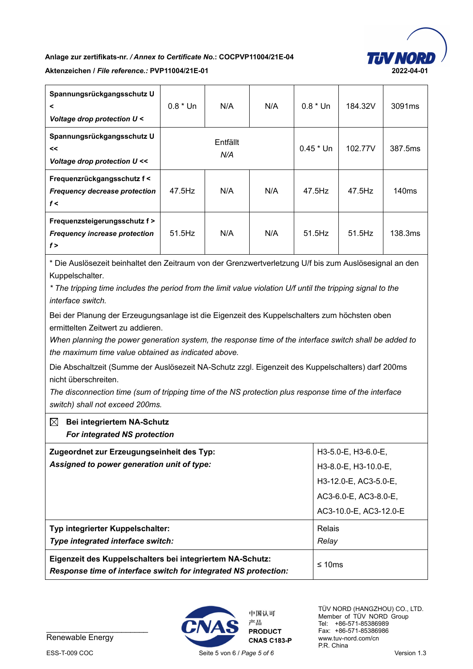

## **Anlage zur zertifikats-nr.** */ Annex to Certificate No.***: COCPVP11004/21E-04**

#### **Aktenzeichen /** *File reference.:* **PVP11004/21E-01 2022-04-01**

| Spannungsrückgangsschutz U<br>$\prec$<br>Voltage drop protection U <         | $0.8 * Un$ | N/A             | N/A | $0.8 * Un$  | 184.32V | 3091 <sub>ms</sub> |
|------------------------------------------------------------------------------|------------|-----------------|-----|-------------|---------|--------------------|
| Spannungsrückgangsschutz U<br><<<br>Voltage drop protection U <<             |            | Entfällt<br>N/A |     | $0.45 * Un$ | 102.77V | 387.5ms            |
| Frequenzrückgangsschutz f<<br><b>Frequency decrease protection</b><br>f<     | 47.5Hz     | N/A             | N/A | 47.5Hz      | 47.5Hz  | 140 <sub>ms</sub>  |
| Frequenzsteigerungsschutz f ><br><b>Frequency increase protection</b><br>f > | 51.5Hz     | N/A             | N/A | 51.5Hz      | 51.5Hz  | 138.3ms            |

\* Die Auslösezeit beinhaltet den Zeitraum von der Grenzwertverletzung U/f bis zum Auslösesignal an den Kuppelschalter.

*\* The tripping time includes the period from the limit value violation U/f until the tripping signal to the interface switch.*

Bei der Planung der Erzeugungsanlage ist die Eigenzeit des Kuppelschalters zum höchsten oben ermittelten Zeitwert zu addieren.

*When planning the power generation system, the response time of the interface switch shall be added to the maximum time value obtained as indicated above.*

Die Abschaltzeit (Summe der Auslösezeit NA-Schutz zzgl. Eigenzeit des Kuppelschalters) darf 200ms nicht überschreiten.

*The disconnection time (sum of tripping time of the NS protection plus response time of the interface switch) shall not exceed 200ms.*

### **Bei integriertem NA-Schutz**  *For integrated NS protection* **Zugeordnet zur Erzeugungseinheit des Typ:**  *Assigned to power generation unit of type:* H3-5.0-E, H3-6.0-E, H3-8.0-E, H3-10.0-E, H3-12.0-E, AC3-5.0-E, AC3-6.0-E, AC3-8.0-E, AC3-10.0-E, AC3-12.0-E **Typ integrierter Kuppelschalter:**  *Type integrated interface switch:* Relais *Relay*  **Eigenzeit des Kuppelschalters bei integriertem NA-Schutz:**  *Response time of interface switch for integrated NS protection:* ≤ 10ms



Renewable Energy



中国认可 产品 **PRODUCT**  TÜV NORD (HANGZHOU) CO., LTD. Member of TÜV NORD Group Tel: +86-571-85386989 Fax: +86-571-85386986 www.tuv-nord.com/cn P.R. China